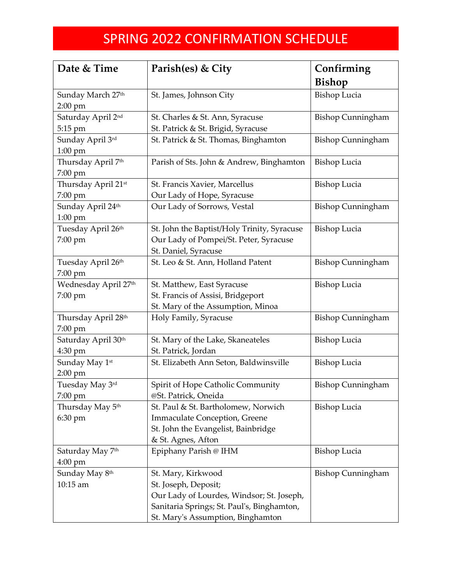## SPRING 2022 CONFIRMATION SCHEDULE

| Date & Time                     | Parish(es) & City                           | Confirming               |
|---------------------------------|---------------------------------------------|--------------------------|
|                                 |                                             | Bishop                   |
| Sunday March 27th               | St. James, Johnson City                     | <b>Bishop Lucia</b>      |
| 2:00 pm                         |                                             |                          |
| Saturday April 2nd              | St. Charles & St. Ann, Syracuse             | <b>Bishop Cunningham</b> |
| 5:15 pm                         | St. Patrick & St. Brigid, Syracuse          |                          |
| Sunday April 3rd                | St. Patrick & St. Thomas, Binghamton        | <b>Bishop Cunningham</b> |
| $1:00$ pm                       |                                             |                          |
| Thursday April 7th              | Parish of Sts. John & Andrew, Binghamton    | <b>Bishop Lucia</b>      |
| 7:00 pm                         |                                             |                          |
| Thursday April 21st             | St. Francis Xavier, Marcellus               | <b>Bishop Lucia</b>      |
| 7:00 pm                         | Our Lady of Hope, Syracuse                  |                          |
| Sunday April 24th               | Our Lady of Sorrows, Vestal                 | <b>Bishop Cunningham</b> |
| $1:00$ pm                       |                                             |                          |
| Tuesday April 26th              | St. John the Baptist/Holy Trinity, Syracuse | <b>Bishop Lucia</b>      |
| 7:00 pm                         | Our Lady of Pompei/St. Peter, Syracuse      |                          |
|                                 | St. Daniel, Syracuse                        |                          |
| Tuesday April 26th              | St. Leo & St. Ann, Holland Patent           | <b>Bishop Cunningham</b> |
| 7:00 pm                         |                                             |                          |
| Wednesday April 27th            | St. Matthew, East Syracuse                  | <b>Bishop Lucia</b>      |
| 7:00 pm                         | St. Francis of Assisi, Bridgeport           |                          |
|                                 | St. Mary of the Assumption, Minoa           |                          |
| Thursday April 28 <sup>th</sup> | Holy Family, Syracuse                       | <b>Bishop Cunningham</b> |
| 7:00 pm                         |                                             |                          |
| Saturday April 30th             | St. Mary of the Lake, Skaneateles           | <b>Bishop Lucia</b>      |
| 4:30 pm                         | St. Patrick, Jordan                         |                          |
| Sunday May 1st                  | St. Elizabeth Ann Seton, Baldwinsville      | <b>Bishop Lucia</b>      |
| $2:00$ pm                       |                                             |                          |
| Tuesday May 3rd                 | Spirit of Hope Catholic Community           | <b>Bishop Cunningham</b> |
| 7:00 pm                         | @St. Patrick, Oneida                        |                          |
| Thursday May 5 <sup>th</sup>    | St. Paul & St. Bartholomew, Norwich         | <b>Bishop Lucia</b>      |
| 6:30 pm                         | Immaculate Conception, Greene               |                          |
|                                 | St. John the Evangelist, Bainbridge         |                          |
|                                 | & St. Agnes, Afton                          |                          |
| Saturday May 7th                | Epiphany Parish @ IHM                       | <b>Bishop Lucia</b>      |
| $4:00 \text{ pm}$               |                                             |                          |
| Sunday May 8th                  | St. Mary, Kirkwood                          | <b>Bishop Cunningham</b> |
| 10:15 am                        | St. Joseph, Deposit;                        |                          |
|                                 | Our Lady of Lourdes, Windsor; St. Joseph,   |                          |
|                                 | Sanitaria Springs; St. Paul's, Binghamton,  |                          |
|                                 | St. Mary's Assumption, Binghamton           |                          |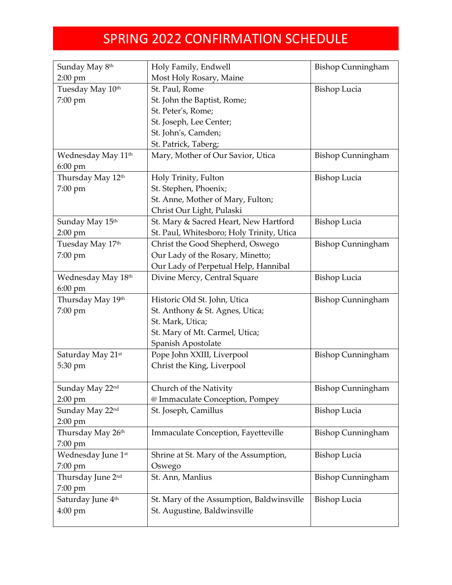## SPRING 2022 CONFIRMATION SCHEDULE

| Sunday May 8th                 | Holy Family, Endwell                      | <b>Bishop Cunningham</b> |
|--------------------------------|-------------------------------------------|--------------------------|
| $2:00$ pm                      | Most Holy Rosary, Maine                   |                          |
| Tuesday May 10th               | St. Paul, Rome                            | <b>Bishop Lucia</b>      |
| 7:00 pm                        | St. John the Baptist, Rome;               |                          |
|                                | St. Peter's, Rome;                        |                          |
|                                | St. Joseph, Lee Center;                   |                          |
|                                | St. John's, Camden;                       |                          |
|                                | St. Patrick, Taberg;                      |                          |
| Wednesday May 11 <sup>th</sup> | Mary, Mother of Our Savior, Utica         | <b>Bishop Cunningham</b> |
| $6:00$ pm                      |                                           |                          |
| Thursday May 12th              | Holy Trinity, Fulton                      | <b>Bishop Lucia</b>      |
| 7:00 pm                        | St. Stephen, Phoenix;                     |                          |
|                                | St. Anne, Mother of Mary, Fulton;         |                          |
|                                | Christ Our Light, Pulaski                 |                          |
| Sunday May 15th                | St. Mary & Sacred Heart, New Hartford     | <b>Bishop Lucia</b>      |
| $2:00$ pm                      | St. Paul, Whitesboro; Holy Trinity, Utica |                          |
| Tuesday May 17 <sup>th</sup>   | Christ the Good Shepherd, Oswego          | <b>Bishop Cunningham</b> |
| 7:00 pm                        | Our Lady of the Rosary, Minetto;          |                          |
|                                | Our Lady of Perpetual Help, Hannibal      |                          |
| Wednesday May 18th             | Divine Mercy, Central Square              | <b>Bishop Lucia</b>      |
| $6:00$ pm                      |                                           |                          |
| Thursday May 19th              | Historic Old St. John, Utica              | <b>Bishop Cunningham</b> |
| 7:00 pm                        | St. Anthony & St. Agnes, Utica;           |                          |
|                                | St. Mark, Utica;                          |                          |
|                                | St. Mary of Mt. Carmel, Utica;            |                          |
|                                | Spanish Apostolate                        |                          |
| Saturday May 21st              | Pope John XXIII, Liverpool                | <b>Bishop Cunningham</b> |
| 5:30 pm                        | Christ the King, Liverpool                |                          |
|                                |                                           |                          |
| Sunday May 22nd                | Church of the Nativity                    | <b>Bishop Cunningham</b> |
| $2:00$ pm                      | @ Immaculate Conception, Pompey           |                          |
| Sunday May 22nd                | St. Joseph, Camillus                      | <b>Bishop Lucia</b>      |
| $2:00$ pm                      |                                           |                          |
| Thursday May 26th              | Immaculate Conception, Fayetteville       | <b>Bishop Cunningham</b> |
| 7:00 pm                        |                                           |                          |
| Wednesday June 1st             | Shrine at St. Mary of the Assumption,     | Bishop Lucia             |
| 7:00 pm                        | Oswego                                    |                          |
| Thursday June 2 <sup>nd</sup>  | St. Ann, Manlius                          | <b>Bishop Cunningham</b> |
| 7:00 pm                        |                                           |                          |
| Saturday June 4 <sup>th</sup>  | St. Mary of the Assumption, Baldwinsville | Bishop Lucia             |
| $4:00 \text{ pm}$              | St. Augustine, Baldwinsville              |                          |
|                                |                                           |                          |